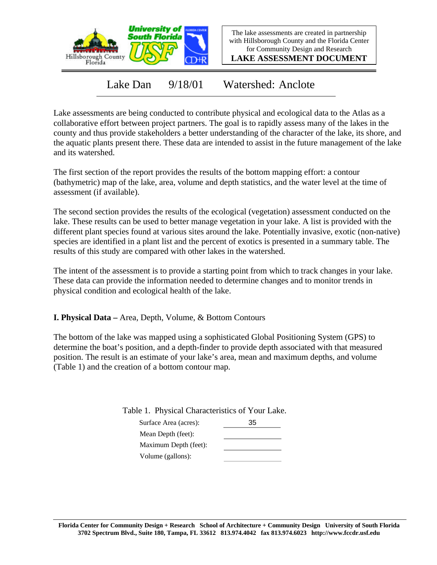

The lake assessments are created in partnership with Hillsborough County and the Florida Center for Community Design and Research

**LAKE ASSESSMENT DOCUMENT**

Lake Dan 9/18/01 Watershed: Anclote

Lake assessments are being conducted to contribute physical and ecological data to the Atlas as a collaborative effort between project partners. The goal is to rapidly assess many of the lakes in the county and thus provide stakeholders a better understanding of the character of the lake, its shore, and the aquatic plants present there. These data are intended to assist in the future management of the lake and its watershed.

The first section of the report provides the results of the bottom mapping effort: a contour (bathymetric) map of the lake, area, volume and depth statistics, and the water level at the time of assessment (if available).

The second section provides the results of the ecological (vegetation) assessment conducted on the lake. These results can be used to better manage vegetation in your lake. A list is provided with the different plant species found at various sites around the lake. Potentially invasive, exotic (non-native) species are identified in a plant list and the percent of exotics is presented in a summary table. The results of this study are compared with other lakes in the watershed.

The intent of the assessment is to provide a starting point from which to track changes in your lake. These data can provide the information needed to determine changes and to monitor trends in physical condition and ecological health of the lake.

**I. Physical Data –** Area, Depth, Volume, & Bottom Contours

The bottom of the lake was mapped using a sophisticated Global Positioning System (GPS) to determine the boat's position, and a depth-finder to provide depth associated with that measured position. The result is an estimate of your lake's area, mean and maximum depths, and volume (Table 1) and the creation of a bottom contour map.

Table 1. Physical Characteristics of Your Lake.

| Surface Area (acres): | 35 |
|-----------------------|----|
| Mean Depth (feet):    |    |
| Maximum Depth (feet): |    |
| Volume (gallons):     |    |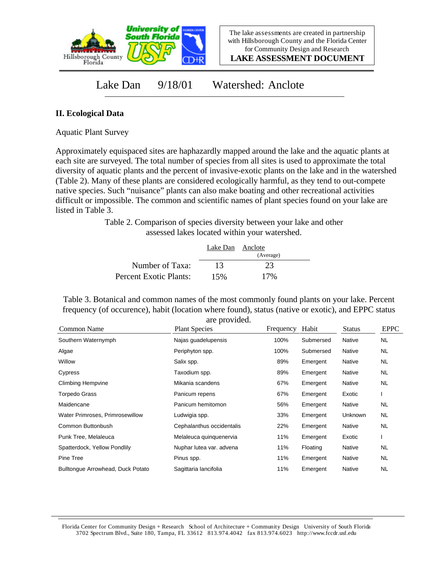

The lake assessments are created in partnership with Hillsborough County and the Florida Center for Community Design and Research

**LAKE ASSESSMENT DOCUMENT**

Lake Dan 9/18/01 Watershed: Anclote

## **II. Ecological Data**

Aquatic Plant Survey

Approximately equispaced sites are haphazardly mapped around the lake and the aquatic plants at each site are surveyed. The total number of species from all sites is used to approximate the total diversity of aquatic plants and the percent of invasive-exotic plants on the lake and in the watershed (Table 2). Many of these plants are considered ecologically harmful, as they tend to out-compete native species. Such "nuisance" plants can also make boating and other recreational activities difficult or impossible. The common and scientific names of plant species found on your lake are listed in Table 3.

> Table 2. Comparison of species diversity between your lake and other assessed lakes located within your watershed.

|                        | Lake Dan Anclote | (Average) |  |
|------------------------|------------------|-----------|--|
| Number of Taxa:        | 13               | 23        |  |
| Percent Exotic Plants: | 15%              | 17%       |  |

Table 3. Botanical and common names of the most commonly found plants on your lake. Percent frequency (of occurence), habit (location where found), status (native or exotic), and EPPC status are provided.

| Common Name                       | <b>Plant Species</b>      | Frequency | Habit     | <b>Status</b>  | <b>EPPC</b> |
|-----------------------------------|---------------------------|-----------|-----------|----------------|-------------|
| Southern Waternymph               | Najas guadelupensis       | 100%      | Submersed | Native         | <b>NL</b>   |
| Algae                             | Periphyton spp.           | 100%      | Submersed | Native         | <b>NL</b>   |
| Willow                            | Salix spp.                | 89%       | Emergent  | Native         | <b>NL</b>   |
| Cypress                           | Taxodium spp.             | 89%       | Emergent  | Native         | <b>NL</b>   |
| <b>Climbing Hempvine</b>          | Mikania scandens          | 67%       | Emergent  | Native         | <b>NL</b>   |
| <b>Torpedo Grass</b>              | Panicum repens            | 67%       | Emergent  | Exotic         |             |
| Maidencane                        | Panicum hemitomon         | 56%       | Emergent  | Native         | <b>NL</b>   |
| Water Primroses, Primrosewillow   | Ludwigia spp.             | 33%       | Emergent  | <b>Unknown</b> | <b>NL</b>   |
| Common Buttonbush                 | Cephalanthus occidentalis | 22%       | Emergent  | Native         | <b>NL</b>   |
| Punk Tree, Melaleuca              | Melaleuca quinquenervia   | 11%       | Emergent  | Exotic         |             |
| Spatterdock, Yellow Pondlily      | Nuphar lutea var. advena  | 11%       | Floating  | Native         | <b>NL</b>   |
| Pine Tree                         | Pinus spp.                | 11%       | Emergent  | Native         | <b>NL</b>   |
| Bulltonque Arrowhead, Duck Potato | Sagittaria lancifolia     | 11%       | Emergent  | Native         | <b>NL</b>   |

Florida Center for Community Design + Research School of Architecture + Community Design University of South Florida 3702 Spectrum Blvd., Suite 180, Tampa, FL 33612 813.974.4042 fax 813.974.6023 http://www.fccdr.usf.edu